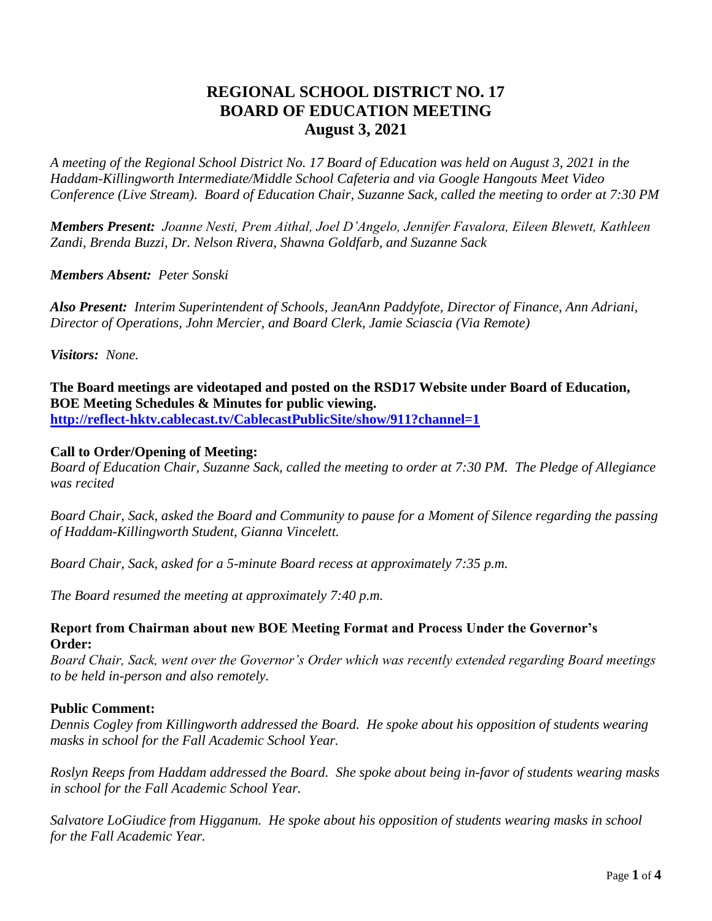# **REGIONAL SCHOOL DISTRICT NO. 17 BOARD OF EDUCATION MEETING August 3, 2021**

*A meeting of the Regional School District No. 17 Board of Education was held on August 3, 2021 in the Haddam-Killingworth Intermediate/Middle School Cafeteria and via Google Hangouts Meet Video Conference (Live Stream). Board of Education Chair, Suzanne Sack, called the meeting to order at 7:30 PM*

*Members Present: Joanne Nesti, Prem Aithal, Joel D'Angelo, Jennifer Favalora, Eileen Blewett, Kathleen Zandi, Brenda Buzzi, Dr. Nelson Rivera, Shawna Goldfarb, and Suzanne Sack*

*Members Absent: Peter Sonski*

*Also Present: Interim Superintendent of Schools, JeanAnn Paddyfote, Director of Finance, Ann Adriani, Director of Operations, John Mercier, and Board Clerk, Jamie Sciascia (Via Remote)*

*Visitors: None.*

**The Board meetings are videotaped and posted on the RSD17 Website under Board of Education, BOE Meeting Schedules & Minutes for public viewing. <http://reflect-hktv.cablecast.tv/CablecastPublicSite/show/911?channel=1>**

#### **Call to Order/Opening of Meeting:**

*Board of Education Chair, Suzanne Sack, called the meeting to order at 7:30 PM. The Pledge of Allegiance was recited*

*Board Chair, Sack, asked the Board and Community to pause for a Moment of Silence regarding the passing of Haddam-Killingworth Student, Gianna Vincelett.*

*Board Chair, Sack, asked for a 5-minute Board recess at approximately 7:35 p.m.*

*The Board resumed the meeting at approximately 7:40 p.m.*

#### **Report from Chairman about new BOE Meeting Format and Process Under the Governor's Order:**

*Board Chair, Sack, went over the Governor's Order which was recently extended regarding Board meetings to be held in-person and also remotely.*

#### **Public Comment:**

*Dennis Cogley from Killingworth addressed the Board. He spoke about his opposition of students wearing masks in school for the Fall Academic School Year.*

*Roslyn Reeps from Haddam addressed the Board. She spoke about being in-favor of students wearing masks in school for the Fall Academic School Year.*

*Salvatore LoGiudice from Higganum. He spoke about his opposition of students wearing masks in school for the Fall Academic Year.*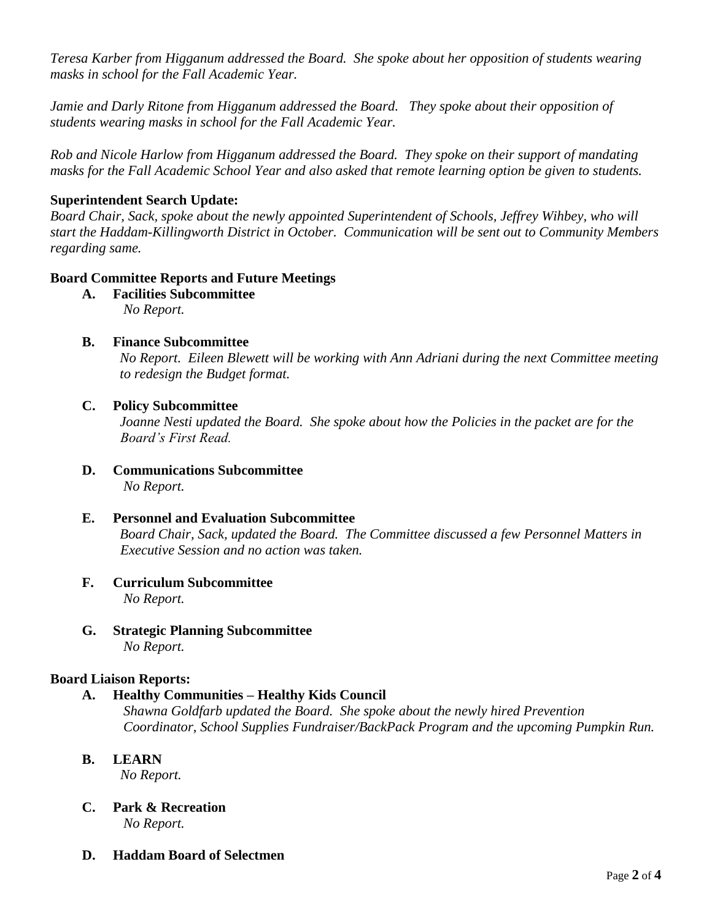*Teresa Karber from Higganum addressed the Board. She spoke about her opposition of students wearing masks in school for the Fall Academic Year.*

*Jamie and Darly Ritone from Higganum addressed the Board. They spoke about their opposition of students wearing masks in school for the Fall Academic Year.*

*Rob and Nicole Harlow from Higganum addressed the Board. They spoke on their support of mandating masks for the Fall Academic School Year and also asked that remote learning option be given to students.*

# **Superintendent Search Update:**

*Board Chair, Sack, spoke about the newly appointed Superintendent of Schools, Jeffrey Wihbey, who will start the Haddam-Killingworth District in October. Communication will be sent out to Community Members regarding same.*

# **Board Committee Reports and Future Meetings**

- **A. Facilities Subcommittee**  *No Report.*
- **B. Finance Subcommittee**

 *No Report. Eileen Blewett will be working with Ann Adriani during the next Committee meeting to redesign the Budget format.*

## **C. Policy Subcommittee**

 *Joanne Nesti updated the Board. She spoke about how the Policies in the packet are for the Board's First Read.*

- **D. Communications Subcommittee** *No Report.*
- **E. Personnel and Evaluation Subcommittee** *Board Chair, Sack, updated the Board. The Committee discussed a few Personnel Matters in Executive Session and no action was taken.*
- **F. Curriculum Subcommittee** *No Report.*
- **G. Strategic Planning Subcommittee** *No Report.*

# **Board Liaison Reports:**

# **A. Healthy Communities – Healthy Kids Council**

 *Shawna Goldfarb updated the Board. She spoke about the newly hired Prevention Coordinator, School Supplies Fundraiser/BackPack Program and the upcoming Pumpkin Run.* 

**B. LEARN** 

*No Report.*

- **C. Park & Recreation** *No Report.*
- **D. Haddam Board of Selectmen**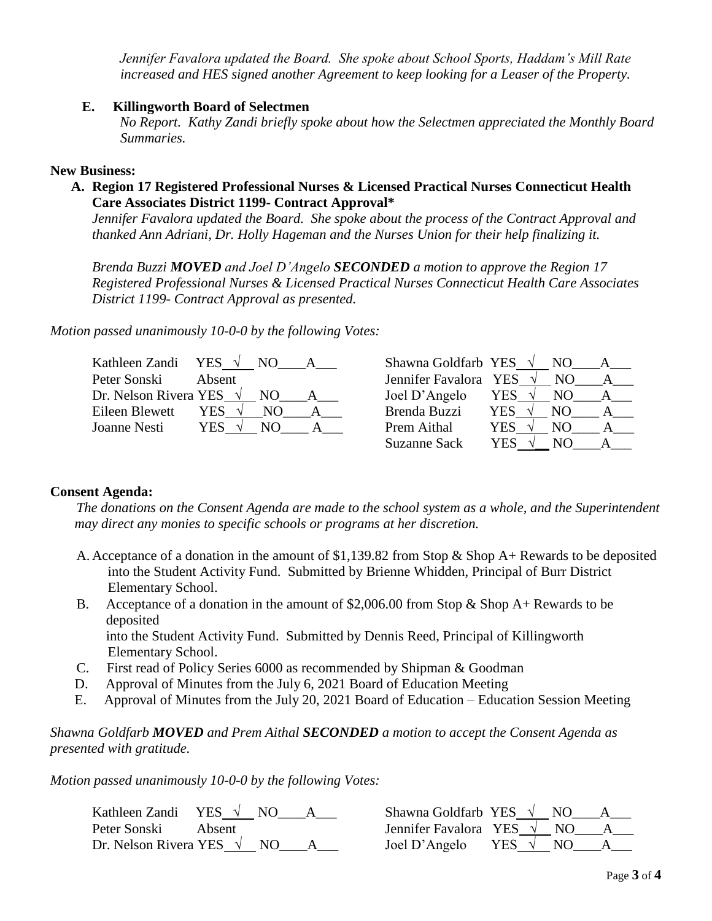*Jennifer Favalora updated the Board. She spoke about School Sports, Haddam's Mill Rate increased and HES signed another Agreement to keep looking for a Leaser of the Property.*

#### **E. Killingworth Board of Selectmen**

 *No Report. Kathy Zandi briefly spoke about how the Selectmen appreciated the Monthly Board Summaries.*

#### **New Business:**

#### **A. Region 17 Registered Professional Nurses & Licensed Practical Nurses Connecticut Health Care Associates District 1199- Contract Approval\***

*Jennifer Favalora updated the Board. She spoke about the process of the Contract Approval and thanked Ann Adriani, Dr. Holly Hageman and the Nurses Union for their help finalizing it.* 

*Brenda Buzzi MOVED and Joel D'Angelo SECONDED a motion to approve the Region 17 Registered Professional Nurses & Licensed Practical Nurses Connecticut Health Care Associates District 1199- Contract Approval as presented.*

*Motion passed unanimously 10-0-0 by the following Votes:*

| Kathleen Zandi YES $\sqrt{}$    | NO.        | Shawna Goldfarb YES $\sqrt{}$ | NO.                   |  |
|---------------------------------|------------|-------------------------------|-----------------------|--|
| Peter Sonski                    | Absent     | Jennifer Favalora YES         | NΟ                    |  |
| Dr. Nelson Rivera YES $\sqrt{}$ | NO.        | Joel D'Angelo                 | YES $\sqrt{ }$<br>NO. |  |
| Eileen Blewett                  | YES<br>NO. | Brenda Buzzi                  | YES.<br>NO.           |  |
| Joanne Nesti                    | YES<br>N() | Prem Aithal                   | YES.<br>NO.           |  |
|                                 |            | <b>Suzanne Sack</b>           | YES<br>NO.            |  |

#### **Consent Agenda:**

*The donations on the Consent Agenda are made to the school system as a whole, and the Superintendent may direct any monies to specific schools or programs at her discretion.* 

- A. Acceptance of a donation in the amount of \$1,139.82 from Stop & Shop A+ Rewards to be deposited into the Student Activity Fund. Submitted by Brienne Whidden, Principal of Burr District Elementary School.
- B. Acceptance of a donation in the amount of \$2,006.00 from Stop & Shop  $A+$  Rewards to be deposited into the Student Activity Fund. Submitted by Dennis Reed, Principal of Killingworth

Elementary School.

- C. First read of Policy Series 6000 as recommended by Shipman & Goodman
- D. Approval of Minutes from the July 6, 2021 Board of Education Meeting
- E. Approval of Minutes from the July 20, 2021 Board of Education Education Session Meeting

#### *Shawna Goldfarb MOVED and Prem Aithal SECONDED a motion to accept the Consent Agenda as presented with gratitude.*

*Motion passed unanimously 10-0-0 by the following Votes:*

| Kathleen Zandi YES $\sqrt{NO}$      |        | Shawna Goldfarb YES $\sqrt{N}$ NO |               |  |
|-------------------------------------|--------|-----------------------------------|---------------|--|
| Peter Sonski                        | Absent | Jennifer Favalora YES $\sqrt{NQ}$ |               |  |
| Dr. Nelson Rivera YES $\sqrt{N}$ NO |        | Joel D'Angelo                     | YES $\vee$ NO |  |